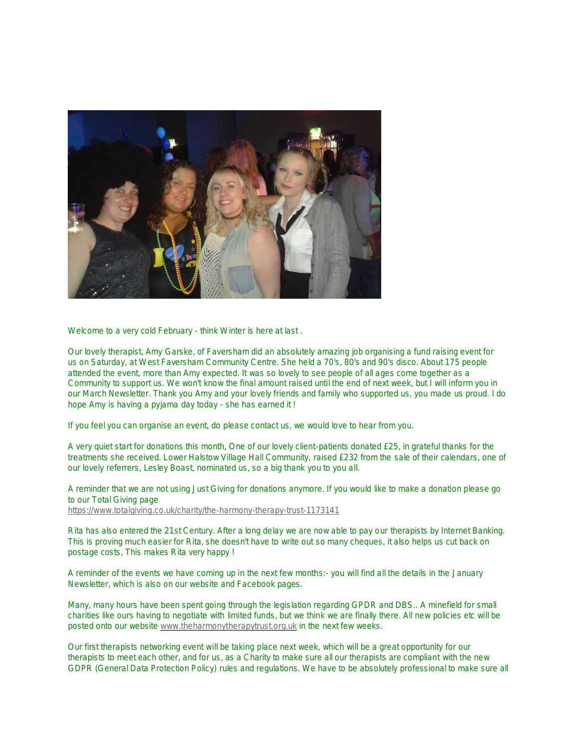

Welcome to a very cold February - think Winter is here at last .

Our lovely therapist, Amy Garske, of Faversham did an absolutely amazing job organising a fund raising event for us on Saturday, at West Faversham Community Centre. She held a 70's, 80's and 90's disco. About 175 people attended the event, more than Amy expected. It was so lovely to see people of all ages come together as a Community to support us. We won't know the final amount raised until the end of next week, but I will inform you in our March Newsletter. Thank you Amy and your lovely friends and family who supported us, you made us proud. I do hope Amy is having a pyjama day today - she has earned it !

If you feel you can organise an event, do please contact us, we would love to hear from you.

A very quiet start for donations this month, One of our lovely client-patients donated £25, in grateful thanks for the treatments she received. Lower Halstow Village Hall Community, raised £232 from the sale of their calendars, one of our lovely referrers, Lesley Boast, nominated us, so a big thank you to you all.

A reminder that we are not using Just Giving for donations anymore. If you would like to make a donation please go to our Total Giving page <https://www.totalgiving.co.uk/charity/the-harmony-therapy-trust-1173141>

Rita has also entered the 21st Century. After a long delay we are now able to pay our therapists by Internet Banking. This is proving much easier for Rita, she doesn't have to write out so many cheques, it also helps us cut back on postage costs, This makes Rita very happy !

A reminder of the events we have coming up in the next few months:- you will find all the details in the January Newsletter, which is also on our website and Facebook pages.

Many, many hours have been spent going through the legislation regarding GPDR and DBS.. A minefield for small charities like ours having to negotiate with limited funds, but we think we are finally there. All new policies etc will be posted onto our website [www.theharmonytherapytrust.org.uk](http://www.theharmonytherapytrust.org.uk/) in the next few weeks.

Our first therapists networking event will be taking place next week, which will be a great opportunity for our therapists to meet each other, and for us, as a Charity to make sure all our therapists are compliant with the new GDPR (General Data Protection Policy) rules and regulations. We have to be absolutely professional to make sure all